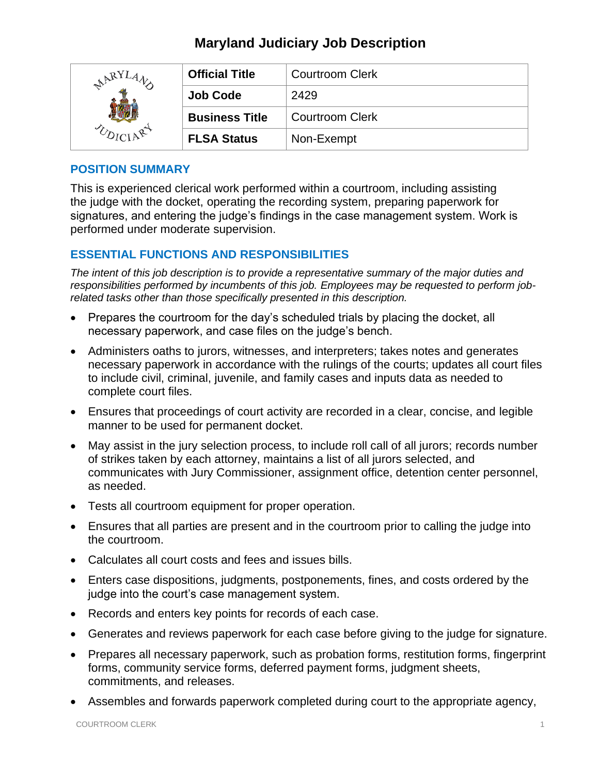| ARYI | <b>Official Title</b> | <b>Courtroom Clerk</b> |
|------|-----------------------|------------------------|
|      | <b>Job Code</b>       | 2429                   |
|      | <b>Business Title</b> | <b>Courtroom Clerk</b> |
|      | <b>FLSA Status</b>    | Non-Exempt             |

#### **POSITION SUMMARY**

This is experienced clerical work performed within a courtroom, including assisting the judge with the docket, operating the recording system, preparing paperwork for signatures, and entering the judge's findings in the case management system. Work is performed under moderate supervision.

### **ESSENTIAL FUNCTIONS AND RESPONSIBILITIES**

*The intent of this job description is to provide a representative summary of the major duties and responsibilities performed by incumbents of this job. Employees may be requested to perform jobrelated tasks other than those specifically presented in this description.*

- Prepares the courtroom for the day's scheduled trials by placing the docket, all necessary paperwork, and case files on the judge's bench.
- Administers oaths to jurors, witnesses, and interpreters; takes notes and generates necessary paperwork in accordance with the rulings of the courts; updates all court files to include civil, criminal, juvenile, and family cases and inputs data as needed to complete court files.
- Ensures that proceedings of court activity are recorded in a clear, concise, and legible manner to be used for permanent docket.
- May assist in the jury selection process, to include roll call of all jurors; records number of strikes taken by each attorney, maintains a list of all jurors selected, and communicates with Jury Commissioner, assignment office, detention center personnel, as needed.
- Tests all courtroom equipment for proper operation.
- Ensures that all parties are present and in the courtroom prior to calling the judge into the courtroom.
- Calculates all court costs and fees and issues bills.
- Enters case dispositions, judgments, postponements, fines, and costs ordered by the judge into the court's case management system.
- Records and enters key points for records of each case.
- Generates and reviews paperwork for each case before giving to the judge for signature.
- Prepares all necessary paperwork, such as probation forms, restitution forms, fingerprint forms, community service forms, deferred payment forms, judgment sheets, commitments, and releases.
- Assembles and forwards paperwork completed during court to the appropriate agency,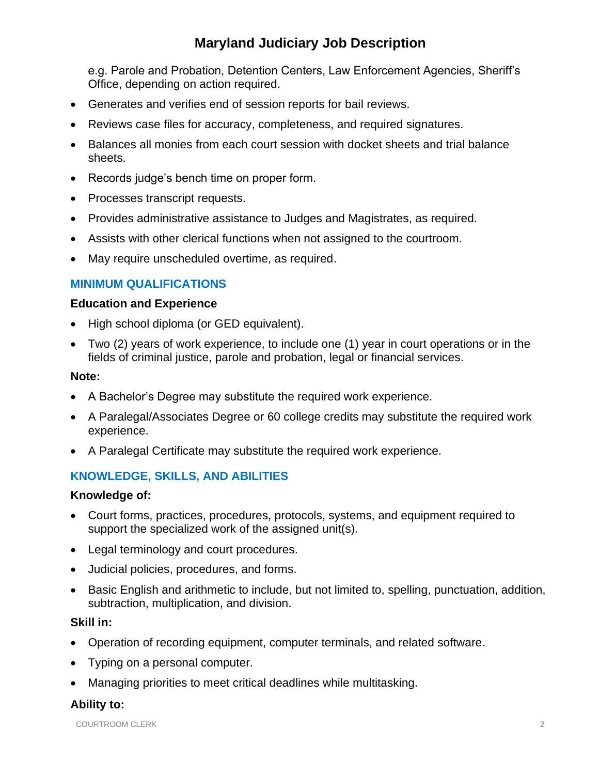e.g. Parole and Probation, Detention Centers, Law Enforcement Agencies, Sheriff's Office, depending on action required.

- Generates and verifies end of session reports for bail reviews.
- Reviews case files for accuracy, completeness, and required signatures.
- Balances all monies from each court session with docket sheets and trial balance sheets.
- Records judge's bench time on proper form.
- Processes transcript requests.
- Provides administrative assistance to Judges and Magistrates, as required.
- Assists with other clerical functions when not assigned to the courtroom.
- May require unscheduled overtime, as required.

## **MINIMUM QUALIFICATIONS**

#### **Education and Experience**

- High school diploma (or GED equivalent).
- Two (2) years of work experience, to include one (1) year in court operations or in the fields of criminal justice, parole and probation, legal or financial services.

#### **Note:**

- A Bachelor's Degree may substitute the required work experience.
- A Paralegal/Associates Degree or 60 college credits may substitute the required work experience.
- A Paralegal Certificate may substitute the required work experience.

### **KNOWLEDGE, SKILLS, AND ABILITIES**

#### **Knowledge of:**

- Court forms, practices, procedures, protocols, systems, and equipment required to support the specialized work of the assigned unit(s).
- Legal terminology and court procedures.
- Judicial policies, procedures, and forms.
- Basic English and arithmetic to include, but not limited to, spelling, punctuation, addition, subtraction, multiplication, and division.

#### **Skill in:**

- Operation of recording equipment, computer terminals, and related software.
- Typing on a personal computer.
- Managing priorities to meet critical deadlines while multitasking.

#### **Ability to:**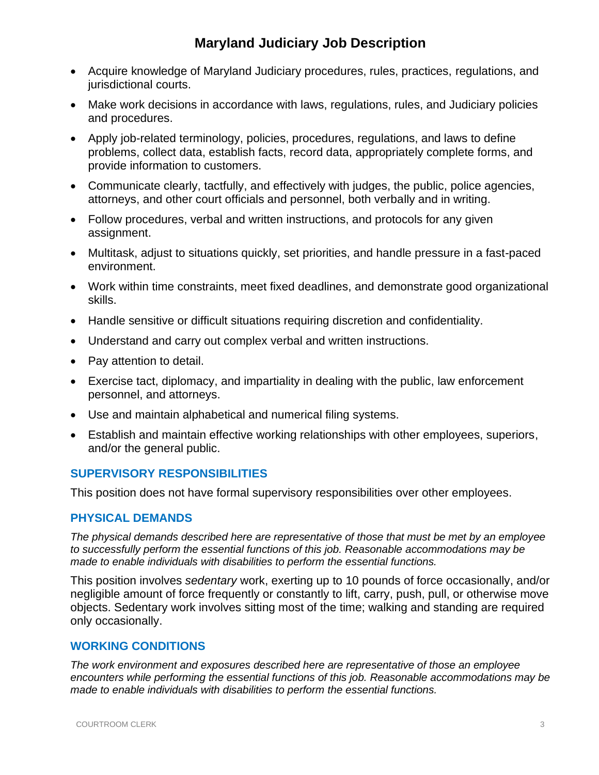- Acquire knowledge of Maryland Judiciary procedures, rules, practices, regulations, and jurisdictional courts.
- Make work decisions in accordance with laws, regulations, rules, and Judiciary policies and procedures.
- Apply job-related terminology, policies, procedures, regulations, and laws to define problems, collect data, establish facts, record data, appropriately complete forms, and provide information to customers.
- Communicate clearly, tactfully, and effectively with judges, the public, police agencies, attorneys, and other court officials and personnel, both verbally and in writing.
- Follow procedures, verbal and written instructions, and protocols for any given assignment.
- Multitask, adjust to situations quickly, set priorities, and handle pressure in a fast-paced environment.
- Work within time constraints, meet fixed deadlines, and demonstrate good organizational skills.
- Handle sensitive or difficult situations requiring discretion and confidentiality.
- Understand and carry out complex verbal and written instructions.
- Pay attention to detail.
- Exercise tact, diplomacy, and impartiality in dealing with the public, law enforcement personnel, and attorneys.
- Use and maintain alphabetical and numerical filing systems.
- Establish and maintain effective working relationships with other employees, superiors, and/or the general public.

### **SUPERVISORY RESPONSIBILITIES**

This position does not have formal supervisory responsibilities over other employees.

#### **PHYSICAL DEMANDS**

*The physical demands described here are representative of those that must be met by an employee to successfully perform the essential functions of this job. Reasonable accommodations may be made to enable individuals with disabilities to perform the essential functions.*

This position involves *sedentary* work, exerting up to 10 pounds of force occasionally, and/or negligible amount of force frequently or constantly to lift, carry, push, pull, or otherwise move objects. Sedentary work involves sitting most of the time; walking and standing are required only occasionally.

#### **WORKING CONDITIONS**

*The work environment and exposures described here are representative of those an employee encounters while performing the essential functions of this job. Reasonable accommodations may be made to enable individuals with disabilities to perform the essential functions.*